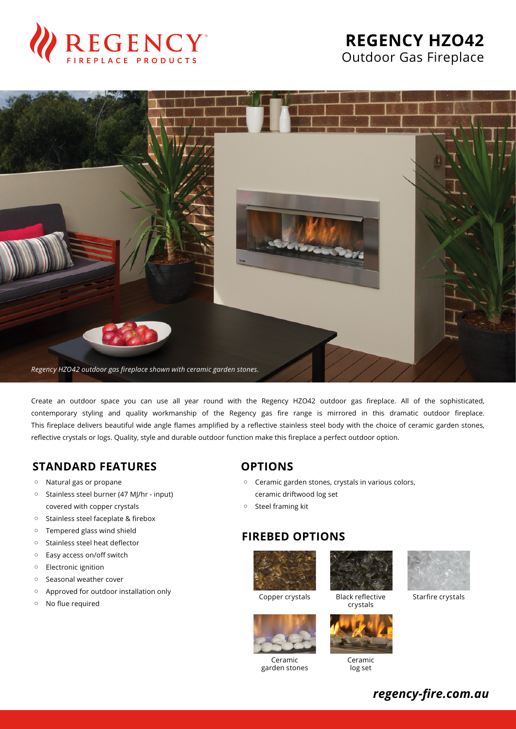

# **REGENCY HZO42** Outdoor Gas Fireplace



Create an outdoor space you can use all year round with the Regency HZO42 outdoor gas fireplace. All of the sophisticated, contemporary styling and quality workmanship of the Regency gas fire range is mirrored in this dramatic outdoor fireplace. This fireplace delivers beautiful wide angle flames amplified by a reflective stainless steel body with the choice of ceramic garden stones, reflective crystals or logs. Quality, style and durable outdoor function make this fireplace a perfect outdoor option.

#### **STANDARD FEATURES**

- Natural gas or propane
- Stainless steel burner (47 MJ/hr input) covered with copper crystals
- Stainless steel faceplate & firebox
- Tempered glass wind shield
- Stainless steel heat deflector
- Easy access on/off switch
- Electronic ignition
- Seasonal weather cover
- Approved for outdoor installation only
- No flue required

### **OPTIONS**

- Ceramic garden stones, crystals in various colors, ceramic driftwood log set
- Steel framing kit

### **FIREBED OPTIONS**





Black reflective crystals



Ceramic garden stones



Ceramic log set



Starfire crystals

*regency-fire.com.au*